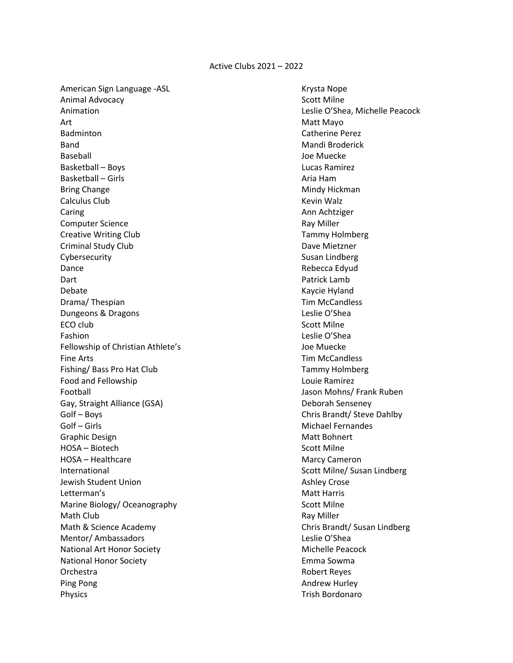American Sign Language -ASL **Krysta Nope Communist Communist Communist Communist Communist Communist Communist Communist Communist Communist Communist Communist Communist Communist Communist Communist Communist Communist C** Animal Advocacy **Scott Milne** Animation Leslie O'Shea, Michelle Peacock Art **Matt Mayo** Badminton **Catherine Perez** Band Mandi Broderick (Bandi Broderick (Bandi Broderick (Mandi Broderick (Bandi Broderick (Bandi Broderick (Bandi Broderick (Bandi Broderick (Bandi Broderick (Bandi Broderick (Bandi Broderick (Bandi Broderick (Bandi Broderi Baseball Joe Muecke Basketball – Boys Lucas Ramirez Basketball – Girls Aria Ham Bring Change **Mindy Hickman** Mindy Hickman Calculus Club Kevin Walz Caring **Ann Achtziger Ann Achtziger Ann Achtziger** Computer Science **Ray Miller** Computer Science Creative Writing Club Tammy Holmberg Criminal Study Club Dave Mietzner Cybersecurity **Susan Lindberg** Susan Lindberg Dance **Rebecca Edyud** Rebecca Edyud Dart Patrick Lamb Debate Kaycie Hyland Drama/ Thespian Tim McCandless and Tim McCandless Dungeons & Dragons **Leslie O'Shea** ECO club and the second second second second second second second second second second second second second second second second second second second second second second second second second second second second second se Fashion Leslie O'Shea Fellowship of Christian Athlete's Joe Muecke Fine Arts **Tim McCandless** Fishing/ Bass Pro Hat Club Tammy Holmberg Food and Fellowship **Louie Ramirez Louie Ramirez** Football Jason Mohns/ Frank Ruben Gay, Straight Alliance (GSA) Deborah Senseney Golf – Boys Chris Brandt/ Steve Dahlby Golf – Girls Michael Fernandes Graphic Design Matt Bohnert (Graphic Design Matt Bohnert Matt Bohnert Matt Bohnert HOSA – Biotech Scott Milne HOSA – Healthcare Marcy Cameron Marcy Cameron International **International** Scott Milne/ Susan Lindberg Jewish Student Union Ashley Crose Ashley Crose Letterman's **Matt Harris** Matt Harris **Matt Harris** Marine Biology/ Oceanography Scott Milne Math Club **Ray Miller** Ray Miller Math & Science Academy **Chris Brandt**/ Susan Lindberg **Chris** Brandt/ Susan Lindberg Mentor/ Ambassadors **Leslie O'Shea** National Art Honor Society **Michelle Peacock** Michelle Peacock National Honor Society **Emma** Sowma Orchestra Robert Reyes Ping Pong Andrew Hurley (1999) 2008 2012 12:30 Andrew Hurley (1999) 2012 12:30 Physics **Trish Bordonaro**